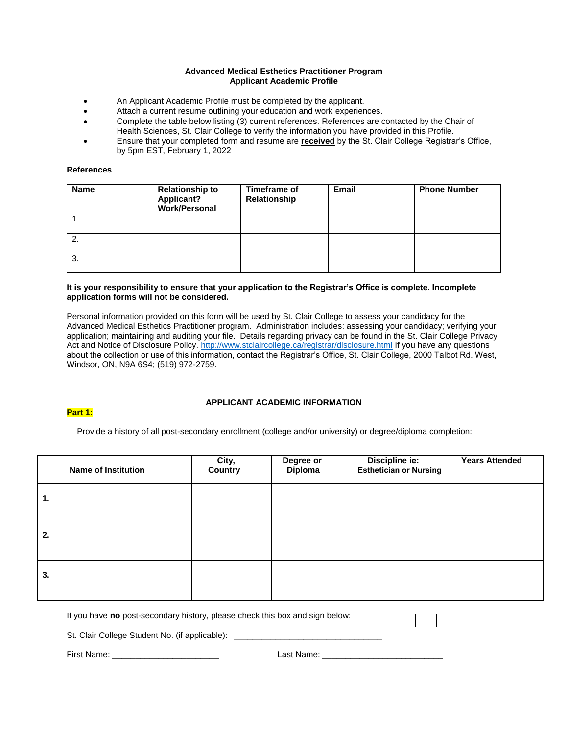## **Advanced Medical Esthetics Practitioner Program Applicant Academic Profile**

- An Applicant Academic Profile must be completed by the applicant.
- Attach a current resume outlining your education and work experiences.
- Complete the table below listing (3) current references. References are contacted by the Chair of Health Sciences, St. Clair College to verify the information you have provided in this Profile.
- Ensure that your completed form and resume are **received** by the St. Clair College Registrar's Office, by 5pm EST, February 1, 2022

### **References**

| <b>Name</b> | <b>Relationship to</b><br>Applicant?<br>Work/Personal | Timeframe of<br>Relationship | <b>Email</b> | <b>Phone Number</b> |
|-------------|-------------------------------------------------------|------------------------------|--------------|---------------------|
|             |                                                       |                              |              |                     |
| -2.         |                                                       |                              |              |                     |
| 3.          |                                                       |                              |              |                     |

## **It is your responsibility to ensure that your application to the Registrar's Office is complete. Incomplete application forms will not be considered.**

Personal information provided on this form will be used by St. Clair College to assess your candidacy for the Advanced Medical Esthetics Practitioner program. Administration includes: assessing your candidacy; verifying your application; maintaining and auditing your file. Details regarding privacy can be found in the St. Clair College Privacy Act and Notice of Disclosure Policy[. http://www.stclaircollege.ca/registrar/disclosure.html](http://www.stclaircollege.ca/registrar/disclosure.html) If you have any questions about the collection or use of this information, contact the Registrar's Office, St. Clair College, 2000 Talbot Rd. West, Windsor, ON, N9A 6S4; (519) 972-2759.

## **Part 1:**

# **APPLICANT ACADEMIC INFORMATION**

Provide a history of all post-secondary enrollment (college and/or university) or degree/diploma completion:

|    | <b>Name of Institution</b> | City,<br>Country | Degree or<br>Diploma | Discipline ie:<br><b>Esthetician or Nursing</b> | <b>Years Attended</b> |
|----|----------------------------|------------------|----------------------|-------------------------------------------------|-----------------------|
| 1. |                            |                  |                      |                                                 |                       |
| 2. |                            |                  |                      |                                                 |                       |
| 3. |                            |                  |                      |                                                 |                       |

If you have **no** post-secondary history, please check this box and sign below:

St. Clair College Student No. (if applicable): \_\_\_\_

First Name: \_\_\_\_\_\_\_\_\_\_\_\_\_\_\_\_\_\_\_\_\_\_\_ Last Name: \_\_\_\_\_\_\_\_\_\_\_\_\_\_\_\_\_\_\_\_\_\_\_\_\_\_